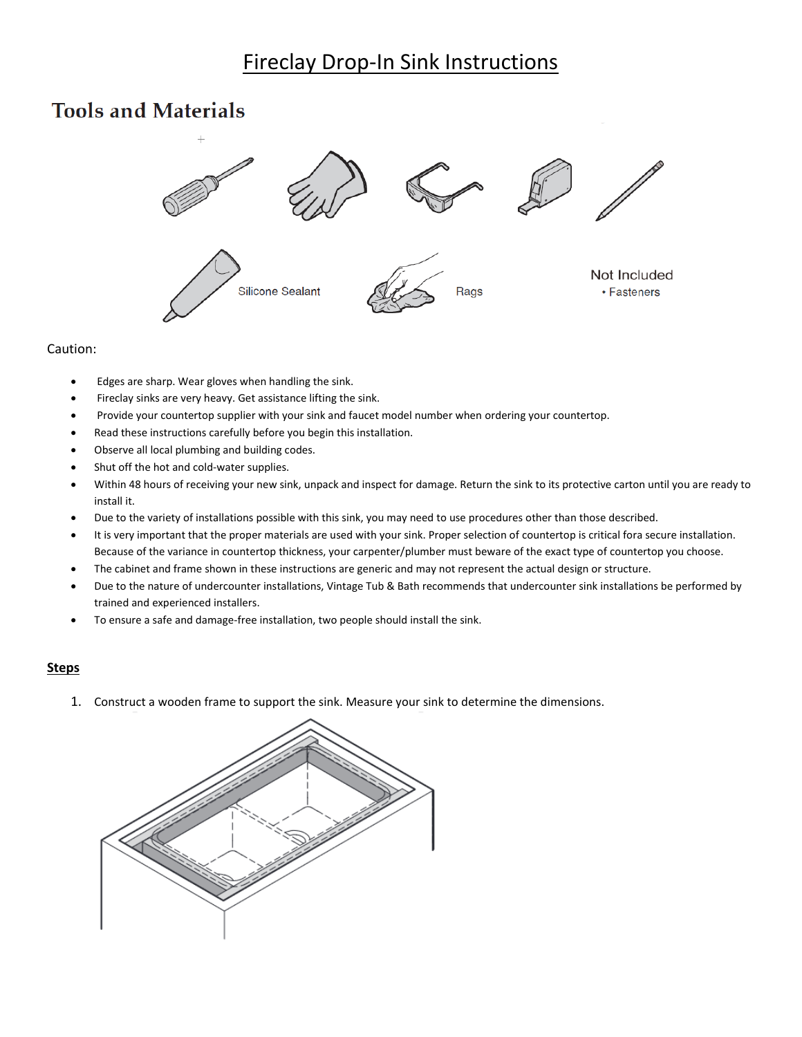## **Fireclay Drop-In Sink Instructions**

## **Tools and Materials**



## Caution:

- Edges are sharp. Wear gloves when handling the sink.
- Fireclay sinks are very heavy. Get assistance lifting the sink.
- Provide your countertop supplier with your sink and faucet model number when ordering your countertop.
- Read these instructions carefully before you begin this installation.
- Observe all local plumbing and building codes.
- Shut off the hot and cold-water supplies.
- Within 48 hours of receiving your new sink, unpack and inspect for damage. Return the sink to its protective carton until you are ready to install it.
- Due to the variety of installations possible with this sink, you may need to use procedures other than those described.
- It is very important that the proper materials are used with your sink. Proper selection of countertop is critical fora secure installation. Because of the variance in countertop thickness, your carpenter/plumber must beware of the exact type of countertop you choose.
- The cabinet and frame shown in these instructions are generic and may not represent the actual design or structure.
- Due to the nature of undercounter installations, Vintage Tub & Bath recommends that undercounter sink installations be performed by trained and experienced installers.
- To ensure a safe and damage-free installation, two people should install the sink.

## **Steps**

1. Construct a wooden frame to support the sink. Measure your sink to determine the dimensions.

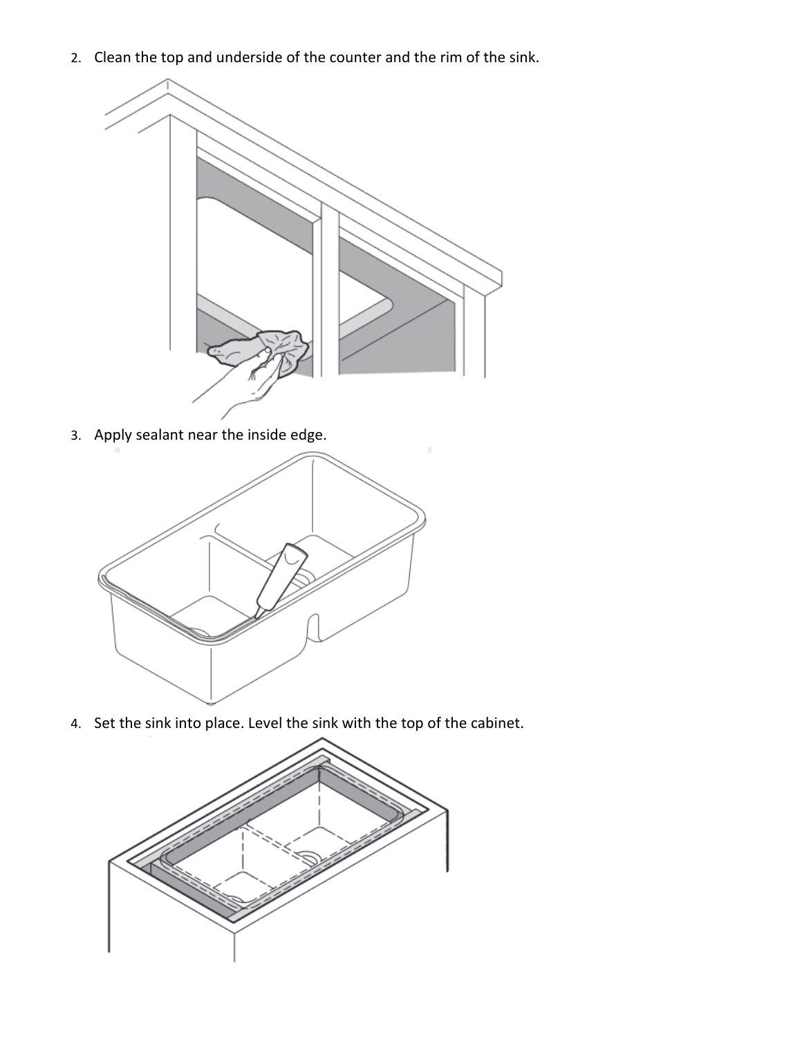2. Clean the top and underside of the counter and the rim of the sink.



3. Apply sealant near the inside edge.



4. Set the sink into place. Level the sink with the top of the cabinet.